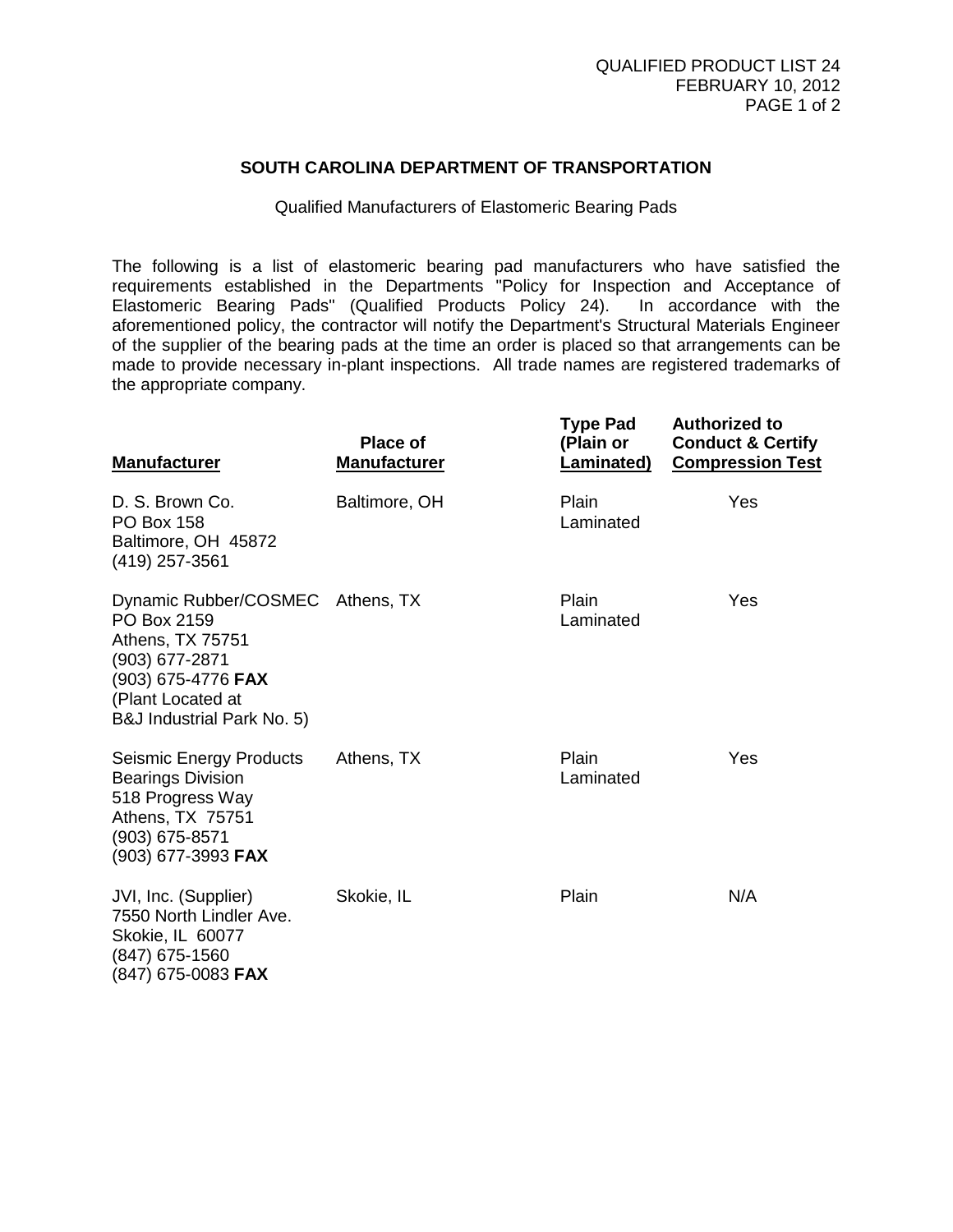## **SOUTH CAROLINA DEPARTMENT OF TRANSPORTATION**

Qualified Manufacturers of Elastomeric Bearing Pads

The following is a list of elastomeric bearing pad manufacturers who have satisfied the requirements established in the Departments "Policy for Inspection and Acceptance of Elastomeric Bearing Pads" (Qualified Products Policy 24). In accordance with the aforementioned policy, the contractor will notify the Department's Structural Materials Engineer of the supplier of the bearing pads at the time an order is placed so that arrangements can be made to provide necessary in-plant inspections. All trade names are registered trademarks of the appropriate company.

| <b>Manufacturer</b>                                                                                                                                              | <b>Place of</b><br><b>Manufacturer</b> | <b>Type Pad</b><br>(Plain or<br><b>Laminated)</b> | <b>Authorized to</b><br><b>Conduct &amp; Certify</b><br><b>Compression Test</b> |
|------------------------------------------------------------------------------------------------------------------------------------------------------------------|----------------------------------------|---------------------------------------------------|---------------------------------------------------------------------------------|
| D. S. Brown Co.<br><b>PO Box 158</b><br>Baltimore, OH 45872<br>(419) 257-3561                                                                                    | Baltimore, OH                          | Plain<br>Laminated                                | Yes                                                                             |
| Dynamic Rubber/COSMEC Athens, TX<br>PO Box 2159<br>Athens, TX 75751<br>$(903)$ 677-2871<br>(903) 675-4776 FAX<br>(Plant Located at<br>B&J Industrial Park No. 5) |                                        | Plain<br>Laminated                                | Yes                                                                             |
| Seismic Energy Products<br><b>Bearings Division</b><br>518 Progress Way<br>Athens, TX 75751<br>(903) 675-8571<br>(903) 677-3993 FAX                              | Athens, TX                             | Plain<br>Laminated                                | Yes                                                                             |
| JVI, Inc. (Supplier)<br>7550 North Lindler Ave.<br>Skokie, IL 60077<br>(847) 675-1560<br>(847) 675-0083 <b>FAX</b>                                               | Skokie, IL                             | Plain                                             | N/A                                                                             |